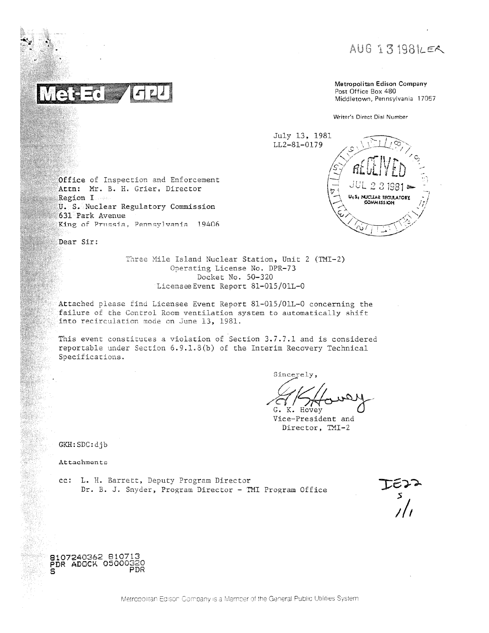AUG 131981LER

Metropolitan Edison Company Post Office Box 480 Middletown, Pennsylvania 17057

Writer's Direct Dial Number

U.S. NUCLEAR REGULATOR

July 13, 1981 LL2-81-0179

Office of Inspection and Enforcement Attn: Mr. B. H. Grier, Director Region I U. S. Nuclear Regulatory Commission 631 Park Avenue King of Prussia, Pennsylvania 19406

Dear Sir:

Three Mile Island Nuclear Station, Unit 2 (TMI-2) Operating License No. DPR-73 Docket No. 50-320 Licensee Event Report 81-015/01L-0

Attached please find Licensee Event Report 81-015/01L-0 concerning the failure of the Control Room ventilation system to automatically shift into recirculation mode on June 13, 1981.

This event constitutes a violation of Section 3.7.7.1 and is considered reportable under Section 6.9.1.8(b) of the Interim Recovery Technical Specifications.

Sincerely,

G. K. Hovey

Vice-President and Director, TMI-2

GKH: SDC: djb

Attachments

cc: L. H. Barrett, Deputy Program Director Dr. B. J. Snyder, Program Director - TMI Program Office

8107240362 810713 PDR ADOCK 05000320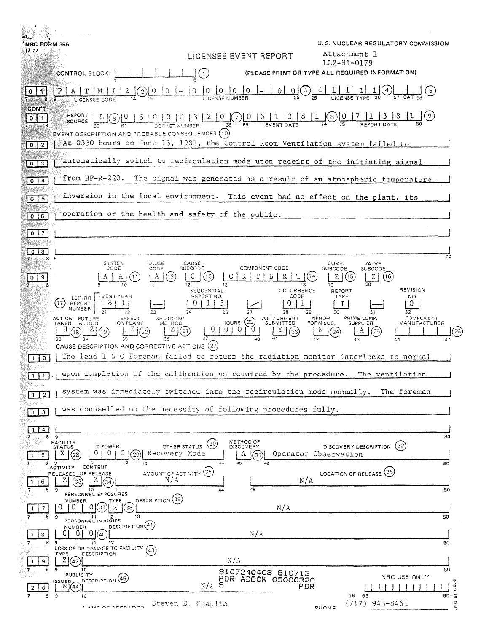| <b>NRC FORM 366</b><br>(7.77)                     |                                                                                  | LICENSEE EVENT REPORT                                                                       | U.S. NUCLEAR REGULATORY COMMISSION<br>Attachment 1             |                                 |
|---------------------------------------------------|----------------------------------------------------------------------------------|---------------------------------------------------------------------------------------------|----------------------------------------------------------------|---------------------------------|
|                                                   |                                                                                  |                                                                                             | LL2-81-0179<br>(PLEASE PRINT OR TYPE ALL REQUIRED INFORMATION) |                                 |
| CONTROL BLOCK:                                    |                                                                                  | $\begin{array}{c} \begin{array}{c} \begin{array}{c} \end{array} \\ \end{array} \end{array}$ |                                                                |                                 |
|                                                   |                                                                                  | $\overline{0}$<br> 0 0 0<br> 0 <br>0 <sup>1</sup><br>LICENSE NUMBER                         | 0(3)                                                           |                                 |
| <b>CON'T</b><br>REPORT<br>۰0۰<br>11.              | 0 0 0 0 3<br>$6^{\circ}$                                                         | 2 0(7) 0 6 1<br>$\begin{array}{c} \boxed{3} \end{array}$                                    | 8<br>(8)                                                       |                                 |
| SOURCE                                            | EVENT DESCRIPTION AND PROBABLE CONSEQUENCES (10)                                 | 68                                                                                          |                                                                |                                 |
| $0$   2                                           |                                                                                  | At 0330 hours on June 13, 1981, the Control Room Ventilation system failed to               |                                                                |                                 |
| $0 \mid 3$                                        |                                                                                  | automatically switch to recirculation mode upon receipt of the initiating signal            |                                                                |                                 |
| $\sqrt{0}$   4                                    | $from HP-R-220.$                                                                 | The signal was generated as a result of an atmospheric temperature                          |                                                                |                                 |
|                                                   |                                                                                  | inversion in the local environment. This event had no effect on the plant, its              |                                                                |                                 |
|                                                   | operation or the health and safety of the public.                                |                                                                                             |                                                                |                                 |
| 0   6                                             |                                                                                  |                                                                                             |                                                                |                                 |
| I 7.<br>$\mathbf{0}$                              |                                                                                  |                                                                                             |                                                                |                                 |
|                                                   | SYSTEM<br>CAUSE                                                                  | CAUSE                                                                                       | COMP.                                                          | ßО                              |
| 9                                                 | CODE<br>CODE<br>A                                                                | COMPONENT CODE<br>SUBCODE<br>B<br>(13)<br>ΚI                                                | VALVE<br><b>SUBCODE</b><br>SUBCODE<br>Ε<br>(16<br>Z            |                                 |
|                                                   |                                                                                  | 12<br>SEQUENTIAL                                                                            | OCCURRENCE<br><b>REFORT</b>                                    | REVISION                        |
| LER/RO<br>17<br>REPORT<br>NUMBER                  | <b>EVENT YEAR</b><br>S.                                                          | REPORT NO.<br>5.                                                                            | CODE<br><b>TYPE</b>                                            | NO.<br>0                        |
| ACTION FUTURE<br>TAKEN                            | SHUTDOWN<br>EFFECT<br>ON PLANT<br>METHOD<br><b>ACTION</b>                        | 26<br>ATTACHMENT<br>SUBMITTED<br>HOUNS(22)                                                  | 30<br>NPRD-4<br>PRIME COMP.<br>FORM SUB.<br><b>SUPPLIER</b>    | 32<br>COMPONENT<br>MANUFACTURER |
| [18]                                              | Ζļ<br>(21)                                                                       | -0<br>$\Theta$<br>0 I<br>70                                                                 | $^{(\mathrm{23})}$<br>(25                                      |                                 |
| 0                                                 | CAUSE DESCRIPTION AND CORRECTIVE ACTIONS (27)                                    | The lead I & C Foreman failed to return the radiation monitor interlocks to normal          |                                                                |                                 |
| 1   1                                             |                                                                                  | upon completion of the calibration as required by the procedure.                            |                                                                | The ventilation                 |
| Singer,                                           |                                                                                  | system was immediately switched into the recirculation mode manually. The foreman           |                                                                |                                 |
| $1 \mid 2$                                        |                                                                                  | was counselled on the necessity of following procedures fully.                              |                                                                |                                 |
| $1 \mid 3$                                        |                                                                                  |                                                                                             |                                                                |                                 |
| $1$   4<br>9<br>8<br>7                            |                                                                                  | METHOD OF                                                                                   |                                                                | 80                              |
| FACILITY<br><b>STATUS</b><br>$X \mid (28)$<br>5   | % POWER<br>OTHER STATUS<br>$\overline{O}$<br>$0\sqrt{29}$<br>01<br>Recovery Mode | (30)<br>DISCOVERY<br>A<br>l(31)                                                             | DISCOVERY DESCRIPTION (32)<br>Operator Observation             |                                 |
| <b>ACTIVITY</b>                                   | 12<br>10<br>13<br>CONTENT<br>AMOUNT OF ACTIVITY (35)                             | $4-4$<br>45                                                                                 | LOCATION OF RELEASE (36)                                       | 8U                              |
| RELEASED OF RELEASE<br>ZI<br>33<br>6.             | N/A<br>Z<br>(34<br>10                                                            | 45                                                                                          | N/A                                                            |                                 |
| 8<br>9<br>NUMBER.                                 | PERSONNEL EXPOSURES<br>DESCRIPTION (39)<br>TYPE                                  | 44                                                                                          |                                                                | 80                              |
| $\overline{0}$<br>ŧθ<br>7<br>8<br>9               | $(37)$   Z<br>(38)<br>0.<br>13<br>11 12<br>PERSONNEL INJURIES                    | N/A                                                                                         |                                                                | 80                              |
| NUMBER<br>ΟI<br>-0 I<br>8<br>л.                   | $p_{ESCRIPTION}(41)$<br>$0\frac{1}{40}$                                          | N/A                                                                                         |                                                                |                                 |
| 9<br>-7.                                          | 12<br>11<br>LOSS OF OR DAMAGE TO FACILITY (43)                                   |                                                                                             |                                                                | 80                              |
| TYPE<br>21(42)<br>9                               | <b>DESCRIPTION</b>                                                               | N/A                                                                                         |                                                                |                                 |
| 10<br>7<br>9<br><b>PUBLICITY</b><br><b>ISSUED</b> | DESCRIPTION (45)                                                                 | 8107240408 810713<br>PDR ADOCK 05000320                                                     |                                                                | 80<br>NRC USE ONLY              |
| N(44)<br>$\mathbf{O}$<br>8<br>- 9<br>10           |                                                                                  | $N/\ell$ S                                                                                  | PDR<br>68 69                                                   | $80 \cdot 5$                    |
|                                                   | ALABAM                                                                           | Steven D. Chaplin                                                                           | $(717)$ 948-8461<br>PHONE-                                     |                                 |